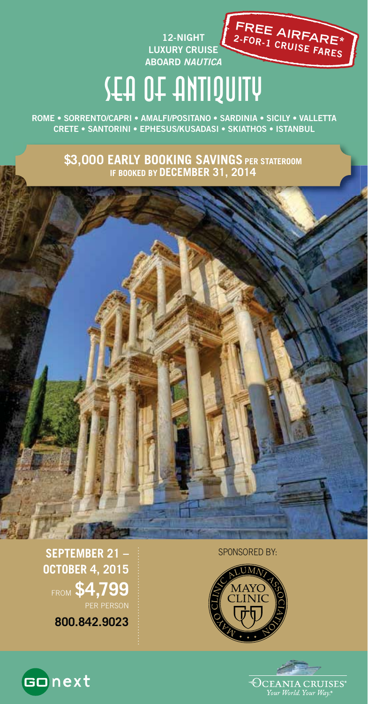

# SEA OF ANTIQUITY

**12-NIGHT**

**ROME • SORRENTO/CAPRI • AMALFI/POSITANO • SARDINIA • SICILY • VALLETTA CRETE • SANTORINI • EPHESUS/KUSADASI • SKIATHOS • ISTANBUL**

> **\$3,000 EARLY BOOKING SAVINGS PER STATEROOM IF BOOKED BY DECEMBER 31, 2014**







**SEPTEMBER 21 – OCTOBER 4, 2015**  FROM **\$4,799** PER PERSON

**800.842.9023**

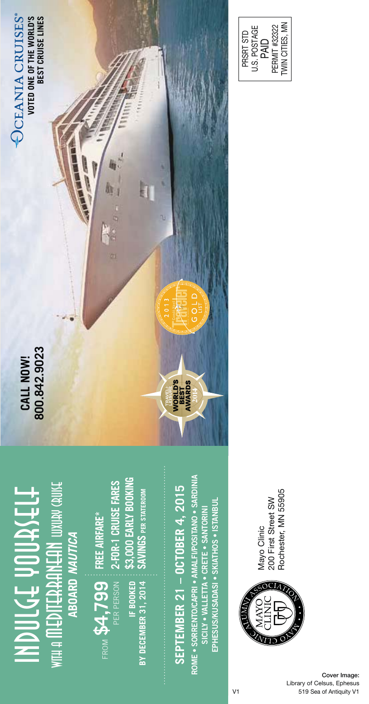**UXUAV CAUKE** WITH A **MEDITERRANEAN** luxury cruise HDDUCT ADDISTELT INDULGE YOURSELF ABOARD NAUTICA **ABOARD** *NAUTICA* **ITEAAANEAN** 

**FREE AIRFARE\* 2-FOR-1 CRUISE FARES** From  $\mathsf{SA}_{\tau}$ **799**  $\vdots$  **free airfare\***<br>Per person  $\vdots$  **2-for-1 cruise fares** PER PERSON

**\$3,000 EARLY BOOKING**  \$3,000 EARLY BOOKING **SAVINGS PER STATEROOM SAVINGS PER STATEROOM** IF BOOKED **IF BOOKED BY DECEMBER 31, 2014 BY DECEMBER 31, 2014**

# SEPTEMBER 21 - OCTOBER 4, 2015 **SEPTEMBER 21 – OCTOBER 4, 2015**

**ROME • SORRENTO/CAPRI • AMALFI/POSITANO • SARDINIA**  ROME . SORRENTO/CAPRI . AMALFI/POSITANO . SARDINIA **EPHESUS/KUSADASI • SKIATHOS • ISTANBUL** EPHESUS/KUSADASI • SKIATHOS • ISTANBUI **SICILY • VALLETTA • CRETE • SANTORINI**  SICILY . VALLETTA . CRETE . SANTORINI

AVORLD'S<br>BEST<br>AVVARDS

Rochester, MN 55905 Rochester, MN 55905Mayo Clinic<br>200 First Street SW 200 First Street SW Mayo Clinic







PRSRT STD U.S. POSTAGE PRSRT STD<br>U.S. POSTAGE<br>PAID<br>PERMIT #32322<br>TWIN CITIES, MN PERMIT #32322 TWIN CITIES, MN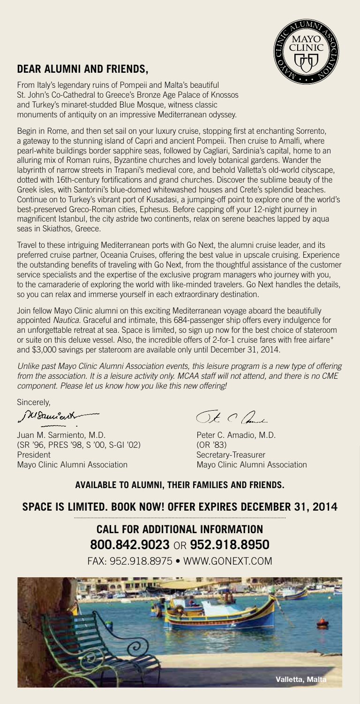

## **DEAR ALUMNI AND FRIENDS,**

From Italy's legendary ruins of Pompeii and Malta's beautiful St. John's Co-Cathedral to Greece's Bronze Age Palace of Knossos and Turkey's minaret-studded Blue Mosque, witness classic monuments of antiquity on an impressive Mediterranean odyssey.

Begin in Rome, and then set sail on your luxury cruise, stopping first at enchanting Sorrento, a gateway to the stunning island of Capri and ancient Pompeii. Then cruise to Amalfi, where pearl-white buildings border sapphire seas, followed by Cagliari, Sardinia's capital, home to an alluring mix of Roman ruins, Byzantine churches and lovely botanical gardens. Wander the labyrinth of narrow streets in Trapani's medieval core, and behold Valletta's old-world cityscape, dotted with 16th-century fortifications and grand churches. Discover the sublime beauty of the Greek isles, with Santorini's blue-domed whitewashed houses and Crete's splendid beaches. Continue on to Turkey's vibrant port of Kusadasi, a jumping-off point to explore one of the world's best-preserved Greco-Roman cities, Ephesus. Before capping off your 12-night journey in magnificent Istanbul, the city astride two continents, relax on serene beaches lapped by aqua seas in Skiathos, Greece.

Travel to these intriguing Mediterranean ports with Go Next, the alumni cruise leader, and its preferred cruise partner, Oceania Cruises, offering the best value in upscale cruising. Experience the outstanding benefits of traveling with Go Next, from the thoughtful assistance of the customer service specialists and the expertise of the exclusive program managers who journey with you, to the camaraderie of exploring the world with like-minded travelers. Go Next handles the details, so you can relax and immerse yourself in each extraordinary destination.

Join fellow Mayo Clinic alumni on this exciting Mediterranean voyage aboard the beautifully appointed Nautica. Graceful and intimate, this 684-passenger ship offers every indulgence for an unforgettable retreat at sea. Space is limited, so sign up now for the best choice of stateroom or suite on this deluxe vessel. Also, the incredible offers of 2-for-1 cruise fares with free airfare\* and \$3,000 savings per stateroom are available only until December 31, 2014.

Unlike past Mayo Clinic Alumni Association events, this leisure program is a new type of offering from the association. It is a leisure activity only. MCAA staff will not attend, and there is no CME component. Please let us know how you like this new offering!

Sincerely,<br>Mauncent

Juan M. Sarmiento, M.D.<br>
(SR '96. PRES '98. S '00. S-GI '02) (OR '83) (OR '83) (SR '96, PRES '98, S '00, S-GI '02)<br>President President Secretary-Treasurer<br>
Mayo Clinic Alumni Association Mayo Clinic Alumni

 $\bigcirc t \circ \mathcal{L}$ 

Mayo Clinic Alumni Association

#### **AVAILABLE TO ALUMNI, THEIR FAMILIES AND FRIENDS.**

### **SPACE IS LIMITED. BOOK NOW! OFFER EXPIRES DECEMBER 31, 2014**

# **CALL FOR ADDITIONAL INFORMATION 800.842.9023** OR **952.918.8950**

FAX: 952.918.8975 • WWW.GONEXT.COM

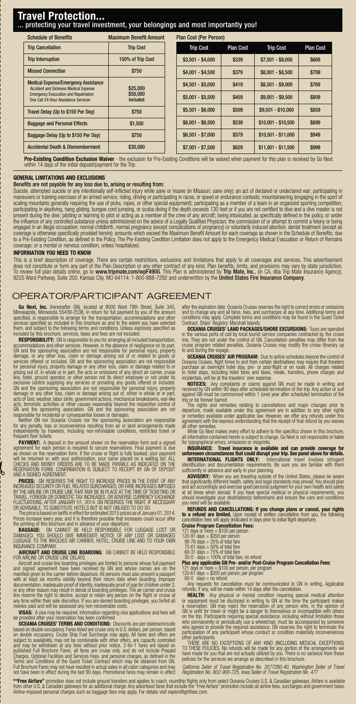#### **Travel Protection...** protecting your travel investment, your belongings and most importantly you!

| <b>Schedule of Benefits</b>                                                                                                                                                         | <b>Maximum Benefit Amount</b>    | <b>Plan Cost (Per Person)</b> |                  |                     |                  |  |  |
|-------------------------------------------------------------------------------------------------------------------------------------------------------------------------------------|----------------------------------|-------------------------------|------------------|---------------------|------------------|--|--|
| <b>Trip Cancellation</b>                                                                                                                                                            | <b>Trip Cost</b>                 | <b>Trip Cost</b>              | <b>Plan Cost</b> | <b>Trip Cost</b>    | <b>Plan Cost</b> |  |  |
| <b>Trip Interruption</b>                                                                                                                                                            | 150% of Trip Cost                | $$3,501 - $4,000$             | \$339            | $$7,501 - $8,000$   | \$669            |  |  |
| <b>Missed Connection</b>                                                                                                                                                            | \$750                            | $$4,001 - $4,500$             | \$379            | $$8,001 - $8,500$   | \$709            |  |  |
| <b>Medical Expense/Emergency Assistance</b><br><b>Accident and Sickness Medical Expense</b><br><b>Emergency Evacuation and Repatriation</b><br>One Call 24-Hour Assistance Services | \$25,000<br>\$50,000<br>Included | $$4,501 - $5,000$             | \$419            | $$8,501 - $9,000$   | \$769            |  |  |
|                                                                                                                                                                                     |                                  | $$5.001 - $5.500$             | \$459            | $$9.001 - $9.500$   | \$809            |  |  |
| Travel Delay (Up to \$150 Per Day)                                                                                                                                                  | \$750                            | $$5.501 - $6.000$             | \$509            | $$9,501 - $10,000$  | \$859            |  |  |
| <b>Baggage and Personal Effects</b>                                                                                                                                                 | \$1,500                          | $$6,001 - $6,500$             | \$539            | $$10,001 - $10,500$ | \$899            |  |  |
| Baggage Delay (Up to \$150 Per Day)                                                                                                                                                 | \$750                            | $$6,501 - $7,000$             | \$579            | $$10,501 - $11,000$ | \$949            |  |  |
| <b>Accidental Death &amp; Dismemberment</b>                                                                                                                                         | \$30,000                         | $$7,001 - $7,500$             | \$629            | $$11,001 - $11,500$ | \$999            |  |  |

**Pre-Existing Condition Exclusion Waiver** - the exclusion for Pre-Existing Conditions will be waived when payment for this plan is received by Go Next within 14 days of the initial deposit/payment for the Trip.

#### **GENERAL LIMITATIONS AND EXCLUSIONS**

#### Benefits are not payable for any loss due to, arising or resulting from:

Suicide, attempted suicide or any intentionally self-inflicted injury while sane or insane (in Missouri, sane only); an act of declared or undeclared war; participating in<br>maneuvers or training exercises of an armed servic scaling mountains generally requiring the use of picks, ropes, or other special equipment); participating as a member of a team in an organized sporting competition;<br>participating in skydiving, hang gliding, burgee cord ju engaged in an illegal occupation; normal childbirth, normal pregnancy (except complications of pregnancy) or voluntarily induced abortion; dental treatment (except as<br>coverage is otherwise specifically provided herein); am to a Pre-Existing Condition, as defined in the Policy. The Pre-Existing Condition Limitation does not apply to the Emergency Medical Evacuation or Return of Remains coverage; or a mental or nervous condition, unless hospitalized.

#### **INFORMATION YOU NEED TO KNOW**

This is a brief description of coverage. There are certain restrictions, exclusions and limitations that apply to all coverages and services. This advertisement<br>does not constitute or form any part of the Plan Description

#### OPERATOR/PARTICIPANT AGREEMENT

**Go Next, Inc.** (hereinafter GN), located at 8000 West 78th Street, Suite 345, the Street Suite, Discreening information specified, is responsible to arrange for the transportation, accommodations and other specified, is r

included by this brochure, services, taxes and fees are not included.<br>**RESPONSIBILITY:** GN is responsible to you for arranging all included transportation,<br>**accommodations and other services.** However, in the absence of ne

acts, terroristic activities or other causes reasonably beyond the respective control of<br>GN and the sponsoring association. GN and the sponsoring association are not<br>expensible for incidental or consequential losses or dam

PAYMENT: A deposit in the amount shown on the reservation form and a signed<br>agreement for each person is required to secure reservations. Final payment is due<br>as shown on the reservation form. If the cruise or flight is fu will be returned or, with your authorization, your name placed on a waiting list. ALL<br>CHECKS AND MONEY ORDERS ARE TO BE MADE PAYABLE AS INDICATED ON THE<br>RESERVATION FORM. CONFIRMATION IS SUBJECT TO RECEIPT BY GN OF DEPOSIT AND A SIGNED AGREEMENT.

PRICES: GN RESERVES THE RIGHT TO INCREASE PRICES IN THE EVENT OF ANY<br>INCREASED SECURITY OR FUEL RELATED SURCHARGES, OR FARE INCREASES IMPOSED<br>BY THE AIRLINE OR CRUISE LINE THAT MAY BE IN PLACE AT THE TIME OF TICKETING OR TRAVEL, FOREIGN OR DOMESTIC TAX INCREASES, OR ADVERSE CURRENCY EXCHANGE<br>FLUCTUATIONS, AFTER JANUARY 01, 2014. GN RESERVES THE RIGHT, IF NECESSARY<br>OR ADVISABLE, TO SUBSTITUTE HOTELS BUT IS NOT OBLIGED TO DO SO.

. The price is based on tarifts in effect for estimated 2015 prices as of January 01, 2014.<br>Prices increase every year, and it is therefore possible that increases could occur after<br>the printing of this brochure and in adv

**BAGGAGE:** GN CANNOT BE HELD RESPONSIBLE FOR LUGGAGE LOST OR<br>DAMAGED. YOU SHOULD GIVE IMMEDIATE NOTICE OF ANY LOST OR DAMAGED<br>LUGGAGE TO THE INVOLVED AIR CARRIER, HOTEL, CRUISE LINE AND TO YOUR OWN INSURANCE COMPANY.<br>INSURANCE COMPANY.<br>**AIRCRAFT AND CRIUSE I INF ROARDING:** GN CANNOT BE HELD BESPONSIRI F

# **AIRCRAFT AND CRUISE LINE DELAYS.**<br>Aircraft and cruise line boarding privileges are limited to persons whose full paym

Aircraft and cruise line boarding privileges are limited to persons whose full payment and signed agreement have been received by GN and whose names are on the manifest given to the carrier before departure. All persons mu

monies paid and will be assessed any non-recoverable costs.<br>**VISAS: A** visa may be required. Information regarding visa applications and fees will<br>be provided after your reservation has been confirmed.

**OCEANIA CRUISES' TERMS AND CONDITIONS:** Discounts are per stateroom based on double occupancy. Fares listed are cruise only in U.S. dollars, per person, based<br>on double occupancy. Cruise Ship Fuel Surcharge may apply. All fares and offers are<br>subject to availability, may not be combinable published Full Brochure Fares; all fares are cruise only, and do not include Prepaid<br>Charges, Optional Facilities and Services Fees, and personal charges, as defined in the<br>Terms and Conditions of the Guest Ticket Contract Full Brochure Fares may not have resulted in actual sales in all cabin categories and may not have been in effect during the last 90 days. Promotional fares may remain in effect after the expiration date. Oceania Cruises reserves the right to correct errors or omissions and to change any and all fares, fees, and surcharges at any time. Additional terms and conditions may apply. Complete terms and conditions may be found in the Guest Ticket Contract. Ships' Registry: Marshall Islands.

**OCEANIA CRUISES' LAND PACKAGES/SHORE EXCURSIONS:** Tours are operated in the various ports of call by local tourist service companies contracted by the cruise<br>line. They are not under the control of GN. Cancellation penalties may differ from the<br>cruise program related penalties. Oceania Crui to and during the voyag

**OCEANIA CRUISES' AIR PROGRAM:** Due to airline schedules beyond the of Oceania Cruises, flight times to and from certain destinations may require that travelers<br>purchase an overnight hotel stay, pre- or post-flight or en route. All charges related<br>to hotel stays, including hotel fares and tax

**NOTICES:** Any complaints or claims against GN must be made in writing and<br>received by GN within 90 days after scheduled termination of the trip. Any action or suit<br>against GN must be commenced within 1 (one) year after sc trip or be forever barred.

The rights and remedies relating to cancellations and major changes prior to<br>departure, made available under this agreement are in addition to any other rights<br>or remedies available under applicable law. However, we offer agreement with the express understanding that the receipt of that refund by you waives<br>all other remedies.

all other remedies.<br>While Go Next makes every effort to adhere to the specifics shown in this brochure,<br>all information contained herein is subject to change. Go Next is not responsible or liable for typographical errors, omissions or misprints.

**INSURANCE: Travel insurance is available and can provide coverage for unforeseen circumstances that could disrupt your trip. See panel above for details.**

**INTERNATIONAL FLIGHTS ONLY:** International travel involves stringent<br>identification and documentation requirements. Be sure you are familiar with them<br>sufficiently in advance and early in your planning.

**ADVISORY:** When you are traveling outside of the United States, please be aware that significantly different health, safety and legal standards may prevail. You should plan<br>and act accordingly and exercise good personal judgment for your own health and safety<br>at all times when abroad. If you have spec you need will be available.

**REFUNDS AND CANCELLATIONS: If you change plans or cancel, your rights to a refund are limited.** Upon receipt of written cancellation from you, the following cancellation fees will apply (indicated in days prior to initial flight departure).

**Cruise Program Cancellation Fees:**

121 days or more = \$100 per person 120-91 days = \$350 per person 90-76 days = 25% of total fare

75-61 days = 50% of total fare 60-31 days = 75% of total fare

# 30-0 days = 100% of total fare, no retund<br>**Plus any applicable GN Pre- and/or Post-Cruise Program Cancellation Fees:**<br>121 days or more = \$100 per person, per program<br>120-61 days = \$200 per person, per program

 $60-0$  days = no refund Any requests for cancellation must be communicated to GN in writing. Applicable refunds, if any, will be made within 14 days after the cancellation.

**HEALTH:** Any physical or mental condition requiring special medical attention or equipment must be disclosed in writing to GN at the time the participant makes a reservation. GN may reject the reservation of any person wh who agrees to provide the required assistance. GN reserves the right to terminate the participation of any participant whose conduct or condition materially inconveniences

other participants.<br>The THERE ARE NO EXCEPTIONS OF ANY KIND (INCLUDING MEDICAL EXCEPTIONS)<br>TO THESE POLICIES. No refunds will be made for any portion of the arrangements we<br>have made for you that are not actually utilized

California Seller of Travel Registration No. 2077280-40, Washington Seller of Travel<br>Registration No. 602-900-725, Iowa Seller of Travel Registration No. 477

\*\*\*Free Airfare" promotion does not include ground transfers and applies to coach, roundtrip flights only from select Oceania Cruises U.S. & Canadian gateways. Airfare is available<br>from other U.S. & Canadian gateways for a